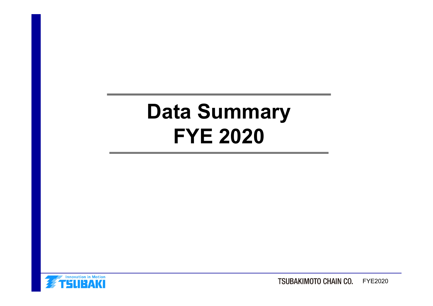# **Data Summary FYE 2020**

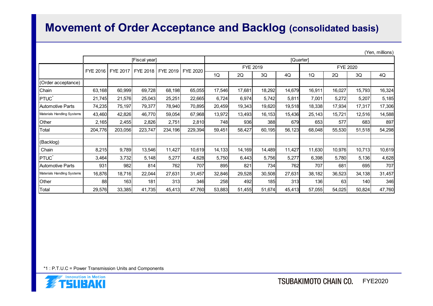### **Movement of Order Acceptance and Backlog (consolidated basis)**

|                            |               |          |          |          |                 |        |           |          |        |                 |        |            | (Yen, millions) |  |
|----------------------------|---------------|----------|----------|----------|-----------------|--------|-----------|----------|--------|-----------------|--------|------------|-----------------|--|
|                            | [Fiscal year] |          |          |          |                 |        | [Quarter] |          |        |                 |        |            |                 |  |
|                            |               |          |          |          |                 |        |           | FYE 2019 |        | <b>FYE 2020</b> |        |            |                 |  |
|                            | FYE 2016      | FYE 2017 | FYE 2018 | FYE 2019 | <b>FYE 2020</b> | 1Q     | 2Q        | 3Q       | 4Q     | 1Q              | 2Q     | 3Q         | 4Q              |  |
| (Order acceptance)         |               |          |          |          |                 |        |           |          |        |                 |        |            |                 |  |
| Chain                      | 63,168        | 60,999   | 69,728   | 68,198   | 65,055          | 17,546 | 17,681    | 18,292   | 14,679 | 16,911          | 16,027 | 15,793     | 16,324          |  |
| <b>PTUC</b>                | 21,745        | 21,576   | 25,043   | 25,251   | 22,665          | 6,724  | 6,974     | 5,742    | 5,811  | 7,001           | 5,272  | 5,207      | 5,185           |  |
| Automotive Parts           | 74,235        | 75,197   | 79,377   | 78,940   | 70,895          | 20,459 | 19,343    | 19,620   | 19,518 | 18,338          | 17,934 | 17,317     | 17,306          |  |
| Materials Handling Systems | 43,460        | 42,826   | 46,770   | 59,054   | 67,968          | 13,972 | 13,493    | 16,153   | 15,436 | 25,143          | 15,721 | 12,516     | 14,588          |  |
| Other                      | 2,165         | 2,455    | 2,826    | 2,751    | 2,810           | 748I   | 936       | 388      | 679    | 653             | 577    | 683        | 897             |  |
| Total                      | 204,776       | 203,056  | 223,747  | 234,196  | 229,394         | 59,451 | 58,427    | 60,195   | 56,123 | 68,048          | 55,530 | 51,518     | 54,298          |  |
| (Backlog)                  |               |          |          |          |                 |        |           |          |        |                 |        |            |                 |  |
| Chain                      | 8,215         | 9,789    | 13,546   | 11,427   | 10,619          | 14,133 | 14,169    | 14,489   | 11,427 | 11,630          | 10,976 | 10,713     | 10,619          |  |
| PTUC <sup>*</sup>          | 3,464         | 3,732    | 5,148    | 5,277    | 4,628           | 5,750  | 6,443     | 5,756    | 5,277  | 6,398           | 5,780  | 5,136      | 4,628           |  |
| <b>Automotive Parts</b>    | 931           | 982      | 814      | 762      | 707             | 895    | 821       | 734      | 762    | 707             | 681    | 695        | 707             |  |
| Materials Handling Systems | 16,876        | 18,716   | 22,044   | 27,631   | 31,457          | 32,846 | 29,528    | 30,508   | 27,631 | 38,182          | 36,523 | 34,138     | 31,457          |  |
| Other                      | 88            | 163      | 181      | 313      | 346             | 258    | 492       | 185      | 313    | 136             | 63     | <b>140</b> | 346             |  |
| Total                      | 29,576        | 33,385   | 41,735   | 45,413   | 47,760          | 53,883 | 51,455    | 51,674   | 45,413 | 57,055          | 54,025 | 50,824     | 47,760          |  |

\*1 : P.T.U.C = Power Transmission Units and Components

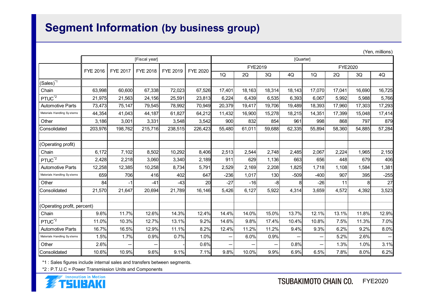## **Segment Information (by business group)**

|                             |                 |                 |                 |          |                 |         |           |        |        |                          |        |                | (Yen, millions) |  |
|-----------------------------|-----------------|-----------------|-----------------|----------|-----------------|---------|-----------|--------|--------|--------------------------|--------|----------------|-----------------|--|
|                             | [Fiscal year]   |                 |                 |          |                 |         | [Quarter] |        |        |                          |        |                |                 |  |
|                             | <b>FYE 2016</b> | <b>FYE 2017</b> |                 | FYE 2019 | <b>FYE 2020</b> | FYE2019 |           |        |        | <b>FYE2020</b>           |        |                |                 |  |
|                             |                 |                 | <b>FYE 2018</b> |          |                 | 1Q      | 2Q        | 3Q     | 4Q     | 1Q                       | 2Q     | 3Q             | 4Q              |  |
| $(Sales)^{*1}$              |                 |                 |                 |          |                 |         |           |        |        |                          |        |                |                 |  |
| Chain                       | 63,998          | 60,600          | 67,338          | 72,023   | 67,526          | 17,401  | 18,163    | 18,314 | 18,143 | 17,070                   | 17,041 | 16,690         | 16,725          |  |
| PTUC <sup>*2</sup>          | 21,975          | 21,563          | 24,156          | 25,591   | 23,813          | 6,224   | 6,439     | 6,535  | 6,393  | 6.067                    | 5,992  | 5,988          | 5,766           |  |
| <b>Automotive Parts</b>     | 73,473          | 75,147          | 79,545          | 78,992   | 70,949          | 20,379  | 19,417    | 19,706 | 19,489 | 18,393                   | 17,960 | 17,303         | 17,293          |  |
| Materials Handling Systems  | 44,354          | 41,043          | 44,187          | 61,827   | 64,212          | 11,432  | 16,900    | 15,278 | 18,215 | 14,351                   | 17,399 | 15,048         | 17,414          |  |
| Other                       | 3,186           | 3,001           | 3,331           | 3,548    | 3,542           | 900     | 832       | 854    | 961    | 998                      | 868    | 797            | 879             |  |
| Consolidated                | 203,976         | 198,762         | 215,716         | 238,515  | 226,423         | 55,480  | 61,011    | 59,688 | 62,335 | 55,894                   | 58,360 | 54,885         | 57,284          |  |
|                             |                 |                 |                 |          |                 |         |           |        |        |                          |        |                |                 |  |
| (Operating profit)          |                 |                 |                 |          |                 |         |           |        |        |                          |        |                |                 |  |
| Chain                       | 6,172           | 7,102           | 8,502           | 10,292   | 8,406           | 2,513   | 2,544     | 2,748  | 2,485  | 2,067                    | 2,224  | 1,965          | 2,150           |  |
| PTUC <sup>*2</sup>          | 2,428           | 2,218           | 3,060           | 3,340    | 2,189           | 911     | 629       | 1,136  | 663    | 656                      | 448    | 679            | 406             |  |
| <b>Automotive Parts</b>     | 12,258          | 12,385          | 10,258          | 8,734    | 5,791           | 2,529   | 2,169     | 2,208  | 1,825  | 1,718                    | 1,108  | 1,584          | 1,381           |  |
| Materials Handling Systems  | 659             | 706             | 416             | 402      | 647             | $-236$  | 1,017     | 130    | $-509$ | $-400$                   | 907    | 395            | $-255$          |  |
| Other                       | 84              | $-1$            | $-41$           | $-43$    | 20              | $-27$   | $-16$     | $-8$   | 8      | $-26$                    | 11     | 8 <sup>1</sup> | 27              |  |
| Consolidated                | 21,570          | 21,647          | 20,694          | 21,789   | 16,146          | 5,426   | 6,127     | 5,922  | 4,314  | 3,659                    | 4,572  | 4,392          | 3,523           |  |
|                             |                 |                 |                 |          |                 |         |           |        |        |                          |        |                |                 |  |
| (Operating profit, percent) |                 |                 |                 |          |                 |         |           |        |        |                          |        |                |                 |  |
| Chain                       | 9.6%            | 11.7%           | 12.6%           | 14.3%    | 12.4%           | 14.4%   | 14.0%     | 15.0%  | 13.7%  | 12.1%                    | 13.1%  | 11.8%          | 12.9%           |  |
| PTUC <sup>*2</sup>          | 11.0%           | 10.3%           | 12.7%           | 13.1%    | 9.2%            | 14.6%   | 9.8%      | 17.4%  | 10.4%  | 10.8%                    | 7.5%   | 11.3%          | 7.0%            |  |
| <b>Automotive Parts</b>     | 16.7%           | 16.5%           | 12.9%           | 11.1%    | 8.2%            | 12.4%   | 11.2%     | 11.2%  | 9.4%   | 9.3%                     | 6.2%   | 9.2%           | 8.0%            |  |
| Materials Handling Systems  | 1.5%            | 1.7%            | 0.9%            | 0.7%     | 1.0%            | —       | 6.0%      | 0.9%   |        | -                        | 5.2%   | 2.6%           |                 |  |
| Other                       | 2.6%            |                 | -               |          | 0.6%            | —       | —         |        | 0.8%   | $\overline{\phantom{0}}$ | 1.3%   | 1.0%           | 3.1%            |  |
| Consolidated                | 10.6%           | 10.9%           | 9.6%            | 9.1%     | 7.1%            | 9.8%    | 10.0%     | 9.9%   | 6.9%   | 6.5%                     | 7.8%   | 8.0%           | 6.2%            |  |

\*1 : Sales figures include internal sales and transfers between segments.

\*2 : P.T.U.C = Power Transmission Units and Components



 $(X, t)$  millions ( $Y$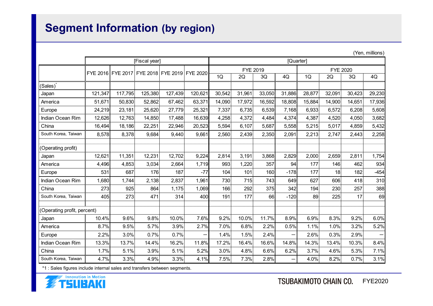# **Segment Information (by region)**

|                             |                   |         |               |         |                            |           |        |        |                          |                 |        |        | (Yen, millions) |
|-----------------------------|-------------------|---------|---------------|---------|----------------------------|-----------|--------|--------|--------------------------|-----------------|--------|--------|-----------------|
|                             |                   |         | [Fiscal year] |         |                            | [Quarter] |        |        |                          |                 |        |        |                 |
|                             | FYE 2016 FYE 2017 |         |               |         | FYE 2018 FYE 2019 FYE 2020 | FYE 2019  |        |        |                          | <b>FYE 2020</b> |        |        |                 |
|                             |                   |         |               |         |                            | 1Q        | 2Q     | 3Q     | 4Q                       | 1Q              | 2Q     | 3Q     | 4Q              |
| (Sales)                     |                   |         |               |         |                            |           |        |        |                          |                 |        |        |                 |
| Japan                       | 121,347           | 117,795 | 125,380       | 127,439 | 120,621                    | 30,542    | 31,961 | 33,050 | 31,886                   | 28,877          | 32,091 | 30,423 | 29,230          |
| America                     | 51,671            | 50,830  | 52,862        | 67,462  | 63,371                     | 14,090    | 17,972 | 16,592 | 18,808                   | 15,884          | 14,900 | 14,651 | 17,936          |
| Europe                      | 24,219            | 23,181  | 25,620        | 27,779  | 25,321                     | 7,337     | 6,735  | 6,539  | 7,168                    | 6,933           | 6,572  | 6,208  | 5,608           |
| Indian Ocean Rim            | 12,626            | 12,763  | 14,850        | 17,488  | 16,639                     | 4,258     | 4,372  | 4,484  | 4,374                    | 4,387           | 4,520  | 4,050  | 3,682           |
| China                       | 16,494            | 18,186  | 22,251        | 22,946  | 20,523                     | 5,594     | 6,107  | 5,687  | 5,558                    | 5,215           | 5,017  | 4,859  | 5,432           |
| South Korea, Taiwan         | 8,578             | 8,378   | 9,684         | 9,440   | 9,661                      | 2,560     | 2,439  | 2,350  | 2,091                    | 2,213           | 2,747  | 2,443  | 2,258           |
|                             |                   |         |               |         |                            |           |        |        |                          |                 |        |        |                 |
| (Operating profit)          |                   |         |               |         |                            |           |        |        |                          |                 |        |        |                 |
| Japan                       | 12,621            | 11,351  | 12,231        | 12,702  | 9,224                      | 2,814     | 3,191  | 3,868  | 2,829                    | 2,000           | 2,659  | 2,811  | 1,754           |
| America                     | 4,496             | 4,853   | 3,034         | 2,664   | 1,719                      | 993       | 1,220  | 357    | 94                       | 177             | 146    | 462    | 934             |
| Europe                      | 531               | 687     | 176           | 187     | $-77$                      | 104       | 101    | 160    | $-178$                   | 177             | 18     | 182    | $-454$          |
| Indian Ocean Rim            | 1,680             | 1,744   | 2,138         | 2,837   | 1,961                      | 730       | 715    | 743    | 649                      | 627             | 606    | 418    | 310             |
| China                       | 273               | 925     | 864           | 1,175   | 1,069                      | 166       | 292    | 375    | 342                      | 194             | 230    | 257    | 388             |
| South Korea, Taiwan         | 405               | 273     | 471           | 314     | 400                        | 191       | 177    | 66     | $-120$                   | 89              | 225    | 17     | 69              |
| (Operating profit, percent) |                   |         |               |         |                            |           |        |        |                          |                 |        |        |                 |
| Japan                       | 10.4%             | 9.6%    | 9.8%          | 10.0%   | 7.6%                       | 9.2%      | 10.0%  | 11.7%  | 8.9%                     | 6.9%            | 8.3%   | 9.2%   | 6.0%            |
| America                     | 8.7%              | 9.5%    | 5.7%          | 3.9%    | 2.7%                       | 7.0%      | 6.8%   | 2.2%   | 0.5%                     | 1.1%            | 1.0%   | 3.2%   | 5.2%            |
| Europe                      | 2.2%              | 3.0%    | 0.7%          | 0.7%    |                            | 1.4%      | 1.5%   | 2.4%   | $\overline{\phantom{0}}$ | 2.6%            | 0.3%   | 2.9%   |                 |
| Indian Ocean Rim            | 13.3%             | 13.7%   | 14.4%         | 16.2%   | 11.8%                      | 17.2%     | 16.4%  | 16.6%  | 14.8%                    | 14.3%           | 13.4%  | 10.3%  | 8.4%            |
| China                       | 1.7%              | 5.1%    | 3.9%          | 5.1%    | 5.2%                       | 3.0%      | 4.8%   | 6.6%   | 6.2%                     | 3.7%            | 4.6%   | 5.3%   | 7.1%            |
| South Korea, Taiwan         | 4.7%              | 3.3%    | 4.9%          | 3.3%    | 4.1%                       | 7.5%      | 7.3%   | 2.8%   | -                        | 4.0%            | 8.2%   | 0.7%   | 3.1%            |

\*1 : Sales figures include internal sales and transfers between segments.



FYE2020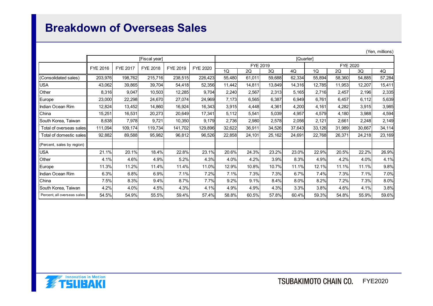### **Breakdown of Overseas Sales**

|                             |               |                 |          |          |          |          |           |        |        |          |        |        | (Yen, millions) |  |
|-----------------------------|---------------|-----------------|----------|----------|----------|----------|-----------|--------|--------|----------|--------|--------|-----------------|--|
|                             | [Fiscal year] |                 |          |          |          |          | [Quarter] |        |        |          |        |        |                 |  |
|                             | FYE 2016      | <b>FYE 2017</b> | FYE 2018 | FYE 2019 | FYE 2020 | FYE 2019 |           |        |        | FYE 2020 |        |        |                 |  |
|                             |               |                 |          |          |          | 1Q       | 2Q        | 3Q     | 4Q     | 1Q       | 2Q     | 3Q     | 4Q              |  |
| (Consolidated sales)        | 203,976       | 198,762         | 215,716  | 238,515  | 226,423  | 55,480   | 61,011    | 59,688 | 62,334 | 55,894   | 58,360 | 54,885 | 57,284          |  |
| <b>USA</b>                  | 43,062        | 39,865          | 39,704   | 54,418   | 52,356   | 11,442   | 14,811    | 13,849 | 14,316 | 12,785   | 11,953 | 12,207 | 15,411          |  |
| Other                       | 8,316         | 9,047           | 10,503   | 12,285   | 9,704    | 2,240    | 2,567     | 2,313  | 5,165  | 2,716    | 2,457  | 2,196  | 2,335           |  |
| Europe                      | 23,000        | 22,298          | 24,670   | 27,074   | 24,969   | 7,173    | 6,565     | 6,387  | 6,949  | 6,761    | 6,457  | 6,112  | 5,639           |  |
| Ilndian Ocean Rim           | 12,824        | 13,452          | 14,860   | 16,924   | 16,343   | 3,915    | 4,448     | 4,361  | 4,200  | 4,161    | 4,282  | 3,915  | 3,985           |  |
| China                       | 15,251        | 16,531          | 20,273   | 20,649   | 17,341   | 5,112    | 5,541     | 5,039  | 4,957  | 4,579    | 4,180  | 3,988  | 4,594           |  |
| South Korea, Taiwan         | 8,638         | 7,978           | 9,721    | 10,350   | 9,179    | 2.736    | 2,980     | 2,578  | 2,056  | 2,121    | 2,661  | 2,248  | 2,149           |  |
| Total of overseas sales     | 111,094       | 109,174         | 119,734  | 141,702  | 129,896  | 32,622   | 36,911    | 34,526 | 37,643 | 33,126   | 31,989 | 30,667 | 34,114          |  |
| Total of domestic sales     | 92,882        | 89,588          | 95,982   | 96,812   | 96,526   | 22,858   | 24,101    | 25,162 | 24,691 | 22,768   | 26,371 | 24,218 | 23,169          |  |
| (Percent, sales by region)  |               |                 |          |          |          |          |           |        |        |          |        |        |                 |  |
| <b>USA</b>                  | 21.1%         | 20.1%           | 18.4%    | 22.8%    | 23.1%    | 20.6%    | 24.3%     | 23.2%  | 23.0%  | 22.9%    | 20.5%  | 22.2%  | 26.9%           |  |
| Other                       | 4.1%          | 4.6%            | 4.9%     | 5.2%     | 4.3%     | 4.0%     | 4.2%      | 3.9%   | 8.3%   | 4.9%     | 4.2%   | 4.0%   | 4.1%            |  |
| Europe                      | 11.3%         | 11.2%           | 11.4%    | 11.4%    | 11.0%    | 12.9%    | 10.8%     | 10.7%  | 11.1%  | 12.1%    | 11.1%  | 11.1%  | 9.8%            |  |
| Indian Ocean Rim            | 6.3%          | 6.8%            | 6.9%     | 7.1%     | 7.2%     | 7.1%     | 7.3%      | 7.3%   | 6.7%   | 7.4%     | 7.3%   | 7.1%   | 7.0%            |  |
| China                       | 7.5%          | 8.3%            | 9.4%     | 8.7%     | 7.7%     | 9.2%     | 9.1%      | 8.4%   | 8.0%   | 8.2%     | 7.2%   | 7.3%   | 8.0%            |  |
| South Korea, Taiwan         | 4.2%          | 4.0%            | 4.5%     | 4.3%     | 4.1%     | 4.9%     | 4.9%      | 4.3%   | 3.3%   | 3.8%     | 4.6%   | 4.1%   | 3.8%            |  |
| Percent, all overseas sales | 54.5%         | 54.9%           | 55.5%    | 59.4%    | 57.4%    | 58.8%    | 60.5%     | 57.8%  | 60.4%  | 59.3%    | 54.8%  | 55.9%  | 59.6%           |  |